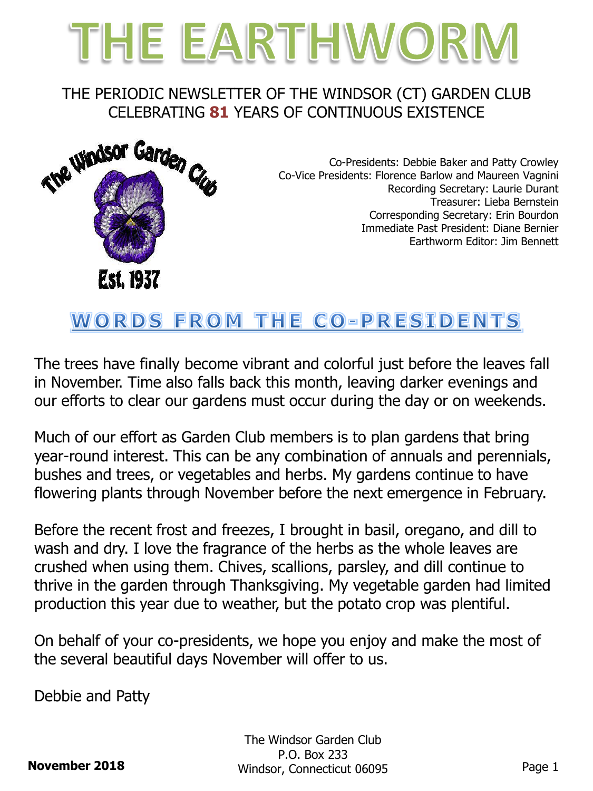

### THE PERIODIC NEWSLETTER OF THE WINDSOR (CT) GARDEN CLUB CELEBRATING **81** YEARS OF CONTINUOUS EXISTENCE



Co-Presidents: Debbie Baker and Patty Crowley Co-Vice Presidents: Florence Barlow and Maureen Vagnini Recording Secretary: Laurie Durant Treasurer: Lieba Bernstein Corresponding Secretary: Erin Bourdon Immediate Past President: Diane Bernier Earthworm Editor: Jim Bennett

# WORDS FROM THE CO-PRESIDENTS

The trees have finally become vibrant and colorful just before the leaves fall in November. Time also falls back this month, leaving darker evenings and our efforts to clear our gardens must occur during the day or on weekends.

Much of our effort as Garden Club members is to plan gardens that bring year-round interest. This can be any combination of annuals and perennials, bushes and trees, or vegetables and herbs. My gardens continue to have flowering plants through November before the next emergence in February.

Before the recent frost and freezes, I brought in basil, oregano, and dill to wash and dry. I love the fragrance of the herbs as the whole leaves are crushed when using them. Chives, scallions, parsley, and dill continue to thrive in the garden through Thanksgiving. My vegetable garden had limited production this year due to weather, but the potato crop was plentiful.

On behalf of your co-presidents, we hope you enjoy and make the most of the several beautiful days November will offer to us.

Debbie and Patty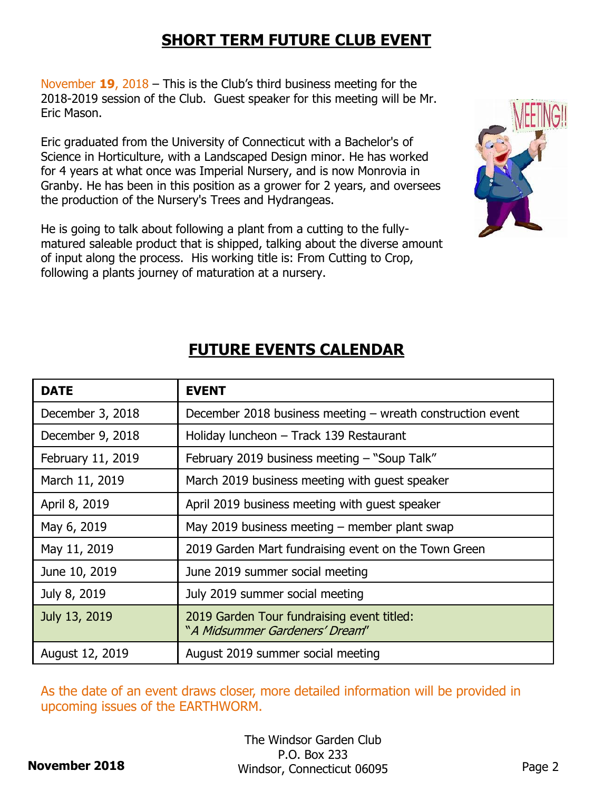### **SHORT TERM FUTURE CLUB EVENT**

November **19**, 2018 – This is the Club's third business meeting for the 2018-2019 session of the Club. Guest speaker for this meeting will be Mr. Eric Mason.

Eric graduated from the University of Connecticut with a Bachelor's of Science in Horticulture, with a Landscaped Design minor. He has worked for 4 years at what once was Imperial Nursery, and is now Monrovia in Granby. He has been in this position as a grower for 2 years, and oversees the production of the Nursery's Trees and Hydrangeas.

He is going to talk about following a plant from a cutting to the fullymatured saleable product that is shipped, talking about the diverse amount of input along the process. His working title is: From Cutting to Crop, following a plants journey of maturation at a nursery.



| <b>DATE</b>       | <b>EVENT</b>                                                                 |
|-------------------|------------------------------------------------------------------------------|
| December 3, 2018  | December 2018 business meeting $-$ wreath construction event                 |
| December 9, 2018  | Holiday luncheon - Track 139 Restaurant                                      |
| February 11, 2019 | February 2019 business meeting - "Soup Talk"                                 |
| March 11, 2019    | March 2019 business meeting with guest speaker                               |
| April 8, 2019     | April 2019 business meeting with guest speaker                               |
| May 6, 2019       | May 2019 business meeting $-$ member plant swap                              |
| May 11, 2019      | 2019 Garden Mart fundraising event on the Town Green                         |
| June 10, 2019     | June 2019 summer social meeting                                              |
| July 8, 2019      | July 2019 summer social meeting                                              |
| July 13, 2019     | 2019 Garden Tour fundraising event titled:<br>"A Midsummer Gardeners' Dream" |
| August 12, 2019   | August 2019 summer social meeting                                            |

### **FUTURE EVENTS CALENDAR**

As the date of an event draws closer, more detailed information will be provided in upcoming issues of the EARTHWORM.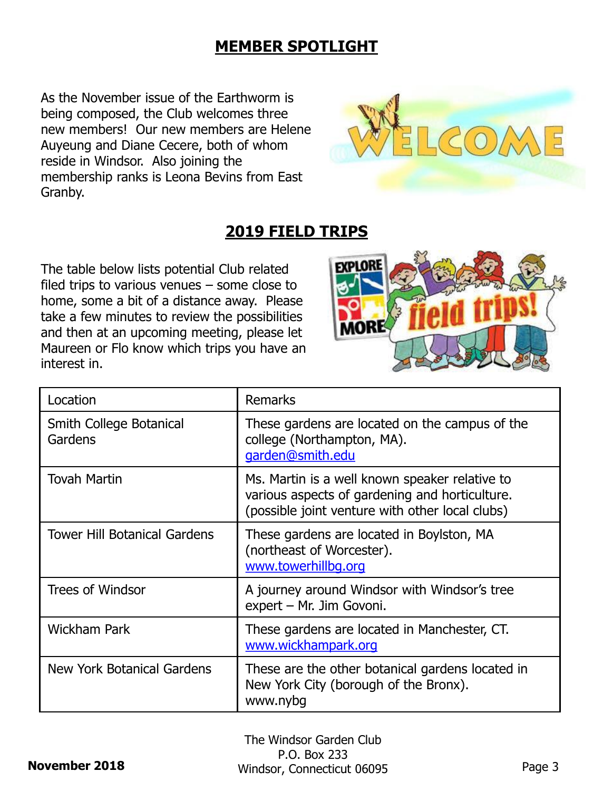### **MEMBER SPOTLIGHT**

As the November issue of the Earthworm is being composed, the Club welcomes three new members! Our new members are Helene Auyeung and Diane Cecere, both of whom reside in Windsor. Also joining the membership ranks is Leona Bevins from East Granby.



## **2019 FIELD TRIPS**

The table below lists potential Club related filed trips to various venues – some close to home, some a bit of a distance away. Please take a few minutes to review the possibilities and then at an upcoming meeting, please let Maureen or Flo know which trips you have an interest in.



| Location                           | <b>Remarks</b>                                                                                                                                      |
|------------------------------------|-----------------------------------------------------------------------------------------------------------------------------------------------------|
| Smith College Botanical<br>Gardens | These gardens are located on the campus of the<br>college (Northampton, MA).<br>garden@smith.edu                                                    |
| <b>Tovah Martin</b>                | Ms. Martin is a well known speaker relative to<br>various aspects of gardening and horticulture.<br>(possible joint venture with other local clubs) |
| Tower Hill Botanical Gardens       | These gardens are located in Boylston, MA<br>(northeast of Worcester).<br>www.towerhillbg.org                                                       |
| <b>Trees of Windsor</b>            | A journey around Windsor with Windsor's tree<br>expert - Mr. Jim Govoni.                                                                            |
| <b>Wickham Park</b>                | These gardens are located in Manchester, CT.<br>www.wickhampark.org                                                                                 |
| New York Botanical Gardens         | These are the other botanical gardens located in<br>New York City (borough of the Bronx).<br>www.nybg                                               |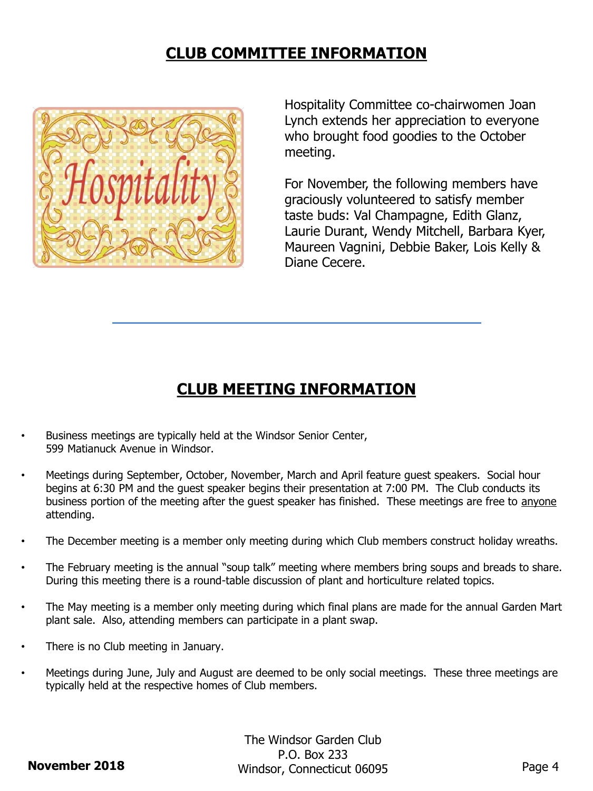### **CLUB COMMITTEE INFORMATION**



Hospitality Committee co-chairwomen Joan Lynch extends her appreciation to everyone who brought food goodies to the October meeting.

For November, the following members have graciously volunteered to satisfy member taste buds: Val Champagne, Edith Glanz, Laurie Durant, Wendy Mitchell, Barbara Kyer, Maureen Vagnini, Debbie Baker, Lois Kelly & Diane Cecere.

#### **CLUB MEETING INFORMATION**

- Business meetings are typically held at the Windsor Senior Center, 599 Matianuck Avenue in Windsor.
- Meetings during September, October, November, March and April feature guest speakers. Social hour begins at 6:30 PM and the guest speaker begins their presentation at 7:00 PM. The Club conducts its business portion of the meeting after the guest speaker has finished. These meetings are free to anyone attending.
- The December meeting is a member only meeting during which Club members construct holiday wreaths.
- The February meeting is the annual "soup talk" meeting where members bring soups and breads to share. During this meeting there is a round-table discussion of plant and horticulture related topics.
- The May meeting is a member only meeting during which final plans are made for the annual Garden Mart plant sale. Also, attending members can participate in a plant swap.
- There is no Club meeting in January.
- Meetings during June, July and August are deemed to be only social meetings. These three meetings are typically held at the respective homes of Club members.